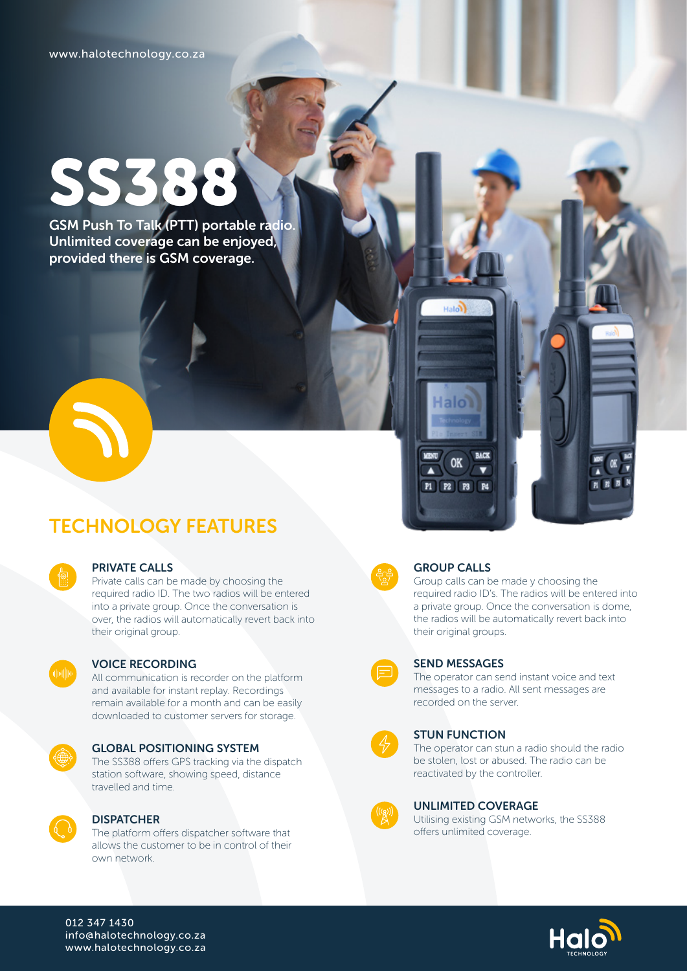# SS388

GSM Push To Talk (PTT) portable radio. Unlimited coverage can be enjoyed, provided there is GSM coverage.

## TECHNOLOGY FEATURES

| е<br>r                                                      |  |
|-------------------------------------------------------------|--|
| ٠<br>٠<br>٠<br>r<br><b>Service</b><br>٠<br>٠<br>$\sim$<br>٠ |  |
|                                                             |  |

#### PRIVATE CALLS

Private calls can be made by choosing the required radio ID. The two radios will be entered into a private group. Once the conversation is over, the radios will automatically revert back into their original group.



#### VOICE RECORDING

All communication is recorder on the platform and available for instant replay. Recordings remain available for a month and can be easily downloaded to customer servers for storage.



#### GLOBAL POSITIONING SYSTEM

The SS388 offers GPS tracking via the dispatch station software, showing speed, distance travelled and time.



#### **DISPATCHER**

The platform offers dispatcher software that allows the customer to be in control of their own network.



#### GROUP CALLS

Halon

Halol

OK

P1 | P2 | P3 | P4

 $\blacktriangle$ 

**BACK** 

Group calls can be made y choosing the required radio ID's. The radios will be entered into a private group. Once the conversation is dome, the radios will be automatically revert back into their original groups.



#### SEND MESSAGES

The operator can send instant voice and text messages to a radio. All sent messages are recorded on the server.

#### STUN FUNCTION

The operator can stun a radio should the radio be stolen, lost or abused. The radio can be reactivated by the controller.



#### UNLIMITED COVERAGE

Utilising existing GSM networks, the SS388 offers unlimited coverage.



012 347 1430 info@halotechnology.co.za www.halotechnology.co.za